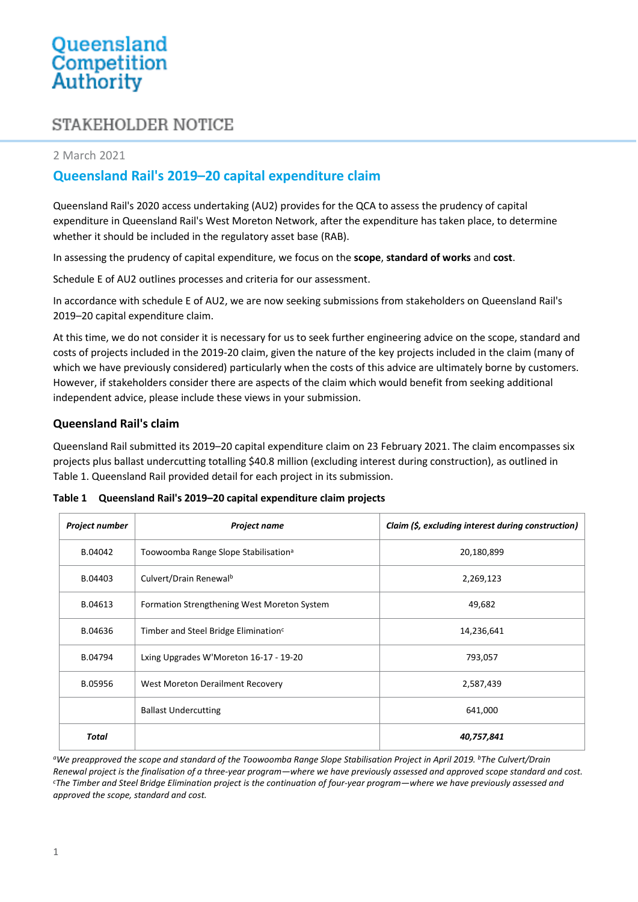# STAKEHOLDER NOTICE

#### 2 March 2021

## **Queensland Rail's 2019–20 capital expenditure claim**

Queensland Rail's 2020 access undertaking (AU2) provides for the QCA to assess the prudency of capital expenditure in Queensland Rail's West Moreton Network, after the expenditure has taken place, to determine whether it should be included in the regulatory asset base (RAB).

In assessing the prudency of capital expenditure, we focus on the **scope**, **standard of works** and **cost**.

Schedule E of AU2 outlines processes and criteria for our assessment.

In accordance with schedule E of AU2, we are now seeking submissions from stakeholders on Queensland Rail's 2019–20 capital expenditure claim.

At this time, we do not consider it is necessary for us to seek further engineering advice on the scope, standard and costs of projects included in the 2019-20 claim, given the nature of the key projects included in the claim (many of which we have previously considered) particularly when the costs of this advice are ultimately borne by customers. However, if stakeholders consider there are aspects of the claim which would benefit from seeking additional independent advice, please include these views in your submission.

#### **Queensland Rail's claim**

Queensland Rail submitted its 2019–20 capital expenditure claim on 23 February 2021. The claim encompasses six projects plus ballast undercutting totalling \$40.8 million (excluding interest during construction), as outlined in Table 1. Queensland Rail provided detail for each project in its submission.

| Project number | <b>Project name</b>                              | Claim (\$, excluding interest during construction) |
|----------------|--------------------------------------------------|----------------------------------------------------|
| B.04042        | Toowoomba Range Slope Stabilisation <sup>a</sup> | 20,180,899                                         |
| B.04403        | Culvert/Drain Renewalb                           | 2,269,123                                          |
| B.04613        | Formation Strengthening West Moreton System      | 49,682                                             |
| B.04636        | Timber and Steel Bridge Elimination <sup>c</sup> | 14,236,641                                         |
| B.04794        | Lxing Upgrades W'Moreton 16-17 - 19-20           | 793,057                                            |
| B.05956        | West Moreton Derailment Recovery                 | 2,587,439                                          |
|                | <b>Ballast Undercutting</b>                      | 641,000                                            |
| Total          |                                                  | 40,757,841                                         |

**Table 1 Queensland Rail's 2019–20 capital expenditure claim projects**

*<sup>a</sup>We preapproved the scope and standard of the Toowoomba Range Slope Stabilisation Project in April 2019. <sup>b</sup>The Culvert/Drain Renewal project is the finalisation of a three-year program—where we have previously assessed and approved scope standard and cost. <sup>c</sup>The Timber and Steel Bridge Elimination project is the continuation of four-year program—where we have previously assessed and approved the scope, standard and cost.*